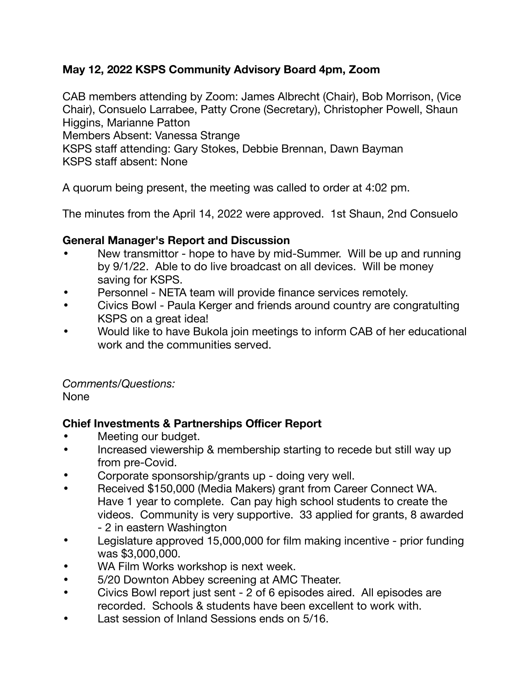### **May 12, 2022 KSPS Community Advisory Board 4pm, Zoom**

CAB members attending by Zoom: James Albrecht (Chair), Bob Morrison, (Vice Chair), Consuelo Larrabee, Patty Crone (Secretary), Christopher Powell, Shaun Higgins, Marianne Patton

Members Absent: Vanessa Strange

KSPS staff attending: Gary Stokes, Debbie Brennan, Dawn Bayman KSPS staff absent: None

A quorum being present, the meeting was called to order at 4:02 pm.

The minutes from the April 14, 2022 were approved. 1st Shaun, 2nd Consuelo

### **General Manager's Report and Discussion**

- New transmittor hope to have by mid-Summer. Will be up and running by 9/1/22. Able to do live broadcast on all devices. Will be money saving for KSPS.
- Personnel NETA team will provide finance services remotely.
- Civics Bowl Paula Kerger and friends around country are congratulting KSPS on a great idea!
- Would like to have Bukola join meetings to inform CAB of her educational work and the communities served.

*Comments/Questions:*  None

### **Chief Investments & Partnerships Officer Report**

- Meeting our budget.
- Increased viewership & membership starting to recede but still way up from pre-Covid.
- Corporate sponsorship/grants up doing very well.
- Received \$150,000 (Media Makers) grant from Career Connect WA. Have 1 year to complete. Can pay high school students to create the videos. Community is very supportive. 33 applied for grants, 8 awarded - 2 in eastern Washington
- Legislature approved 15,000,000 for film making incentive prior funding was \$3,000,000.
- WA Film Works workshop is next week.
- 5/20 Downton Abbey screening at AMC Theater.
- Civics Bowl report just sent 2 of 6 episodes aired. All episodes are recorded. Schools & students have been excellent to work with.
- Last session of Inland Sessions ends on 5/16.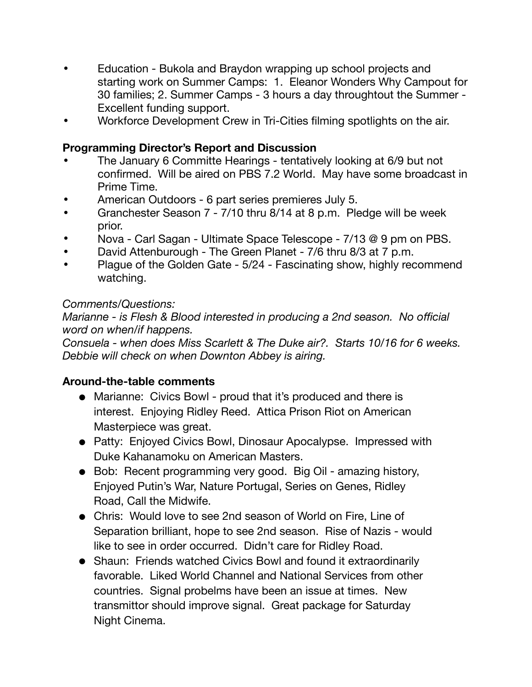- Education Bukola and Braydon wrapping up school projects and starting work on Summer Camps: 1. Eleanor Wonders Why Campout for 30 families; 2. Summer Camps - 3 hours a day throughtout the Summer - Excellent funding support.
- Workforce Development Crew in Tri-Cities filming spotlights on the air.

# **Programming Director's Report and Discussion**

- The January 6 Committe Hearings tentatively looking at 6/9 but not confirmed. Will be aired on PBS 7.2 World. May have some broadcast in Prime Time.
- American Outdoors 6 part series premieres July 5.
- Granchester Season 7 7/10 thru 8/14 at 8 p.m. Pledge will be week prior.
- Nova Carl Sagan Ultimate Space Telescope 7/13 @ 9 pm on PBS.
- David Attenburough The Green Planet 7/6 thru 8/3 at 7 p.m.
- Plague of the Golden Gate 5/24 Fascinating show, highly recommend watching.

# *Comments/Questions:*

*Marianne - is Flesh & Blood interested in producing a 2nd season. No official word on when/if happens.* 

*Consuela - when does Miss Scarlett & The Duke air?. Starts 10/16 for 6 weeks. Debbie will check on when Downton Abbey is airing.* 

## **Around-the-table comments**

- Marianne: Civics Bowl proud that it's produced and there is interest. Enjoying Ridley Reed. Attica Prison Riot on American Masterpiece was great.
- Patty: Enjoyed Civics Bowl, Dinosaur Apocalypse. Impressed with Duke Kahanamoku on American Masters.
- Bob: Recent programming very good. Big Oil amazing history, Enjoyed Putin's War, Nature Portugal, Series on Genes, Ridley Road, Call the Midwife.
- Chris: Would love to see 2nd season of World on Fire, Line of Separation brilliant, hope to see 2nd season. Rise of Nazis - would like to see in order occurred. Didn't care for Ridley Road.
- Shaun: Friends watched Civics Bowl and found it extraordinarily favorable. Liked World Channel and National Services from other countries. Signal probelms have been an issue at times. New transmittor should improve signal. Great package for Saturday Night Cinema.